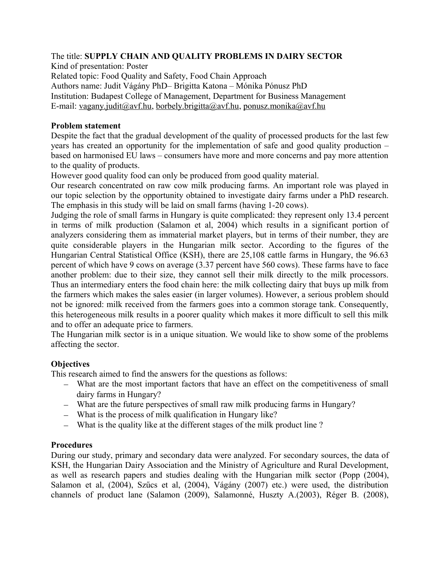### The title: **SUPPLY CHAIN AND QUALITY PROBLEMS IN DAIRY SECTOR**

Kind of presentation: Poster Related topic: Food Quality and Safety, Food Chain Approach Authors name: Judit Vágány PhD– Brigitta Katona – Mónika Pónusz PhD Institution: Budapest College of Management, Department for Business Management E-mail: [vagany.judit@avf.hu,](mailto:vagany.judit@avf.hu) [borbely.brigitta@avf.hu,](mailto:borbely.brigitta@avf.hu) [ponusz.monika@avf.hu](mailto:ponusz.monika@avf.hu)

### **Problem statement**

Despite the fact that the gradual development of the quality of processed products for the last few years has created an opportunity for the implementation of safe and good quality production – based on harmonised EU laws – consumers have more and more concerns and pay more attention to the quality of products.

However good quality food can only be produced from good quality material.

Our research concentrated on raw cow milk producing farms. An important role was played in our topic selection by the opportunity obtained to investigate dairy farms under a PhD research. The emphasis in this study will be laid on small farms (having 1-20 cows).

Judging the role of small farms in Hungary is quite complicated: they represent only 13.4 percent in terms of milk production (Salamon et al, 2004) which results in a significant portion of analyzers considering them as immaterial market players, but in terms of their number, they are quite considerable players in the Hungarian milk sector. According to the figures of the Hungarian Central Statistical Office (KSH), there are 25,108 cattle farms in Hungary, the 96.63 percent of which have 9 cows on average (3.37 percent have 560 cows). These farms have to face another problem: due to their size, they cannot sell their milk directly to the milk processors. Thus an intermediary enters the food chain here: the milk collecting dairy that buys up milk from the farmers which makes the sales easier (in larger volumes). However, a serious problem should not be ignored: milk received from the farmers goes into a common storage tank. Consequently, this heterogeneous milk results in a poorer quality which makes it more difficult to sell this milk and to offer an adequate price to farmers.

The Hungarian milk sector is in a unique situation. We would like to show some of the problems affecting the sector.

# **Objectives**

This research aimed to find the answers for the questions as follows:

- What are the most important factors that have an effect on the competitiveness of small dairy farms in Hungary?
- What are the future perspectives of small raw milk producing farms in Hungary?
- What is the process of milk qualification in Hungary like?
- What is the quality like at the different stages of the milk product line ?

# **Procedures**

During our study, primary and secondary data were analyzed. For secondary sources, the data of KSH, the Hungarian Dairy Association and the Ministry of Agriculture and Rural Development, as well as research papers and studies dealing with the Hungarian milk sector (Popp (2004), Salamon et al, (2004), Szűcs et al, (2004), Vágány (2007) etc.) were used, the distribution channels of product lane (Salamon (2009), Salamonné, Huszty A.(2003), Réger B. (2008),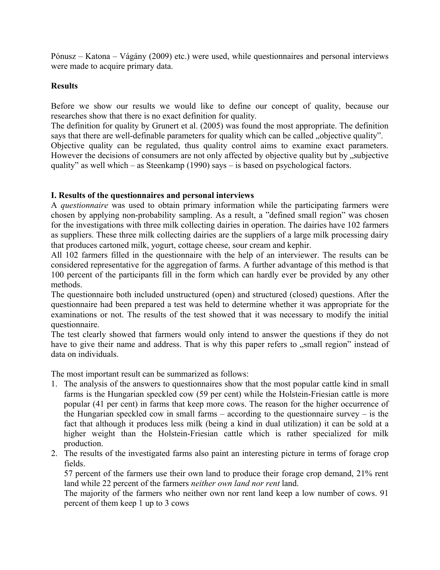Pónusz – Katona – Vágány (2009) etc.) were used, while questionnaires and personal interviews were made to acquire primary data.

### **Results**

Before we show our results we would like to define our concept of quality, because our researches show that there is no exact definition for quality.

The definition for quality by Grunert et al. (2005) was found the most appropriate. The definition says that there are well-definable parameters for quality which can be called "objective quality".

Objective quality can be regulated, thus quality control aims to examine exact parameters. However the decisions of consumers are not only affected by objective quality but by  $\alpha$  subjective quality" as well which – as Steenkamp (1990) says – is based on psychological factors.

### **I. Results of the questionnaires and personal interviews**

A *questionnaire* was used to obtain primary information while the participating farmers were chosen by applying non-probability sampling. As a result, a "defined small region" was chosen for the investigations with three milk collecting dairies in operation. The dairies have 102 farmers as suppliers. These three milk collecting dairies are the suppliers of a large milk processing dairy that produces cartoned milk, yogurt, cottage cheese, sour cream and kephir.

All 102 farmers filled in the questionnaire with the help of an interviewer. The results can be considered representative for the aggregation of farms. A further advantage of this method is that 100 percent of the participants fill in the form which can hardly ever be provided by any other methods.

The questionnaire both included unstructured (open) and structured (closed) questions. After the questionnaire had been prepared a test was held to determine whether it was appropriate for the examinations or not. The results of the test showed that it was necessary to modify the initial questionnaire.

The test clearly showed that farmers would only intend to answer the questions if they do not have to give their name and address. That is why this paper refers to "small region" instead of data on individuals.

The most important result can be summarized as follows:

- 1. The analysis of the answers to questionnaires show that the most popular cattle kind in small farms is the Hungarian speckled cow (59 per cent) while the Holstein-Friesian cattle is more popular (41 per cent) in farms that keep more cows. The reason for the higher occurrence of the Hungarian speckled cow in small farms – according to the questionnaire survey – is the fact that although it produces less milk (being a kind in dual utilization) it can be sold at a higher weight than the Holstein-Friesian cattle which is rather specialized for milk production.
- 2. The results of the investigated farms also paint an interesting picture in terms of forage crop fields.

57 percent of the farmers use their own land to produce their forage crop demand, 21% rent land while 22 percent of the farmers *neither own land nor rent* land.

The majority of the farmers who neither own nor rent land keep a low number of cows. 91 percent of them keep 1 up to 3 cows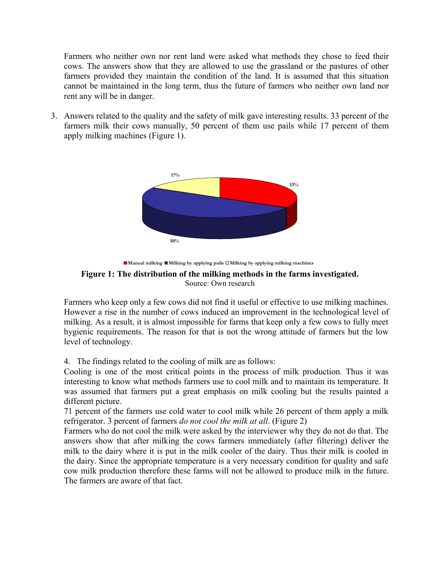Farmers who neither own nor rent land were asked what methods they chose to feed their cows. The answers show that they are allowed to use the grassland or the pastures of other farmers provided they maintain the condition of the land. It is assumed that this situation cannot be maintained in the long term, thus the future of farmers who neither own land nor rent any will be in danger.

3. Answers related to the quality and the safety of milk gave interesting results. 33 percent of the farmers milk their cows manually, 50 percent of them use pails while 17 percent of them apply milking machines (Figure 1).





**Figure 1: The distribution of the milking methods in the farms investigated.** Source: Own research

Farmers who keep only a few cows did not find it useful or effective to use milking machines. However a rise in the number of cows induced an improvement in the technological level of milking. As a result, it is almost impossible for farms that keep only a few cows to fully meet hygienic requirements. The reason for that is not the wrong attitude of farmers but the low level of technology.

4. The findings related to the cooling of milk are as follows:

Cooling is one of the most critical points in the process of milk production. Thus it was interesting to know what methods farmers use to cool milk and to maintain its temperature. It was assumed that farmers put a great emphasis on milk cooling but the results painted a different picture.

71 percent of the farmers use cold water to cool milk while 26 percent of them apply a milk refrigerator. 3 percent of farmers *do not cool the milk at all*. (Figure 2)

Farmers who do not cool the milk were asked by the interviewer why they do not do that. The answers show that after milking the cows farmers immediately (after filtering) deliver the milk to the dairy where it is put in the milk cooler of the dairy. Thus their milk is cooled in the dairy. Since the appropriate temperature is a very necessary condition for quality and safe cow milk production therefore these farms will not be allowed to produce milk in the future. The farmers are aware of that fact.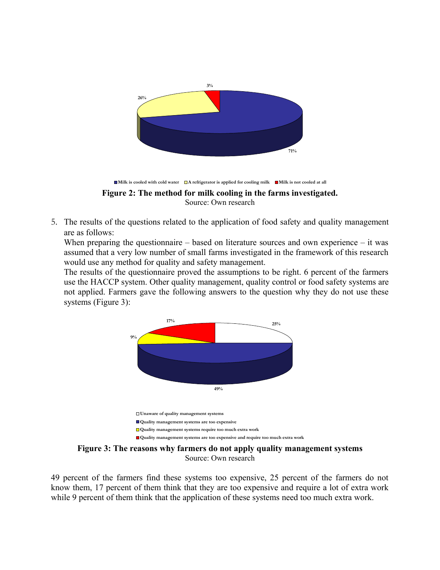

5. The results of the questions related to the application of food safety and quality management are as follows:

When preparing the questionnaire – based on literature sources and own experience – it was assumed that a very low number of small farms investigated in the framework of this research would use any method for quality and safety management.

The results of the questionnaire proved the assumptions to be right. 6 percent of the farmers use the HACCP system. Other quality management, quality control or food safety systems are not applied. Farmers gave the following answers to the question why they do not use these systems (Figure 3):



**Figure 3: The reasons why farmers do not apply quality management systems** Source: Own research

49 percent of the farmers find these systems too expensive, 25 percent of the farmers do not know them, 17 percent of them think that they are too expensive and require a lot of extra work while 9 percent of them think that the application of these systems need too much extra work.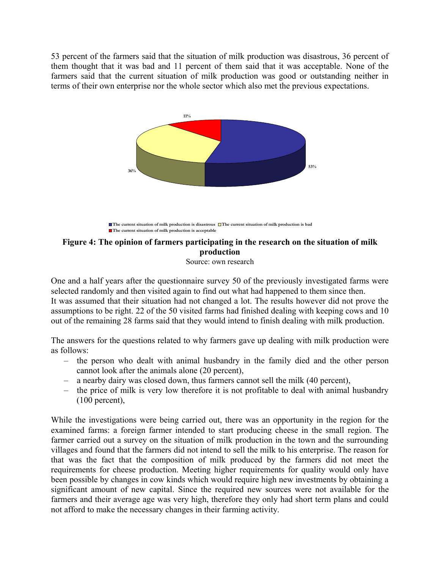53 percent of the farmers said that the situation of milk production was disastrous, 36 percent of them thought that it was bad and 11 percent of them said that it was acceptable. None of the farmers said that the current situation of milk production was good or outstanding neither in terms of their own enterprise nor the whole sector which also met the previous expectations.



**The current situation of milk production is disastrous The current situation of milk production is bad The current situation of milk production is acceptable** 

# **Figure 4: The opinion of farmers participating in the research on the situation of milk production**

Source: own research

One and a half years after the questionnaire survey 50 of the previously investigated farms were selected randomly and then visited again to find out what had happened to them since then. It was assumed that their situation had not changed a lot. The results however did not prove the assumptions to be right. 22 of the 50 visited farms had finished dealing with keeping cows and 10 out of the remaining 28 farms said that they would intend to finish dealing with milk production.

The answers for the questions related to why farmers gave up dealing with milk production were as follows:

- the person who dealt with animal husbandry in the family died and the other person cannot look after the animals alone (20 percent),
- a nearby dairy was closed down, thus farmers cannot sell the milk (40 percent),
- the price of milk is very low therefore it is not profitable to deal with animal husbandry (100 percent),

While the investigations were being carried out, there was an opportunity in the region for the examined farms: a foreign farmer intended to start producing cheese in the small region. The farmer carried out a survey on the situation of milk production in the town and the surrounding villages and found that the farmers did not intend to sell the milk to his enterprise. The reason for that was the fact that the composition of milk produced by the farmers did not meet the requirements for cheese production. Meeting higher requirements for quality would only have been possible by changes in cow kinds which would require high new investments by obtaining a significant amount of new capital. Since the required new sources were not available for the farmers and their average age was very high, therefore they only had short term plans and could not afford to make the necessary changes in their farming activity.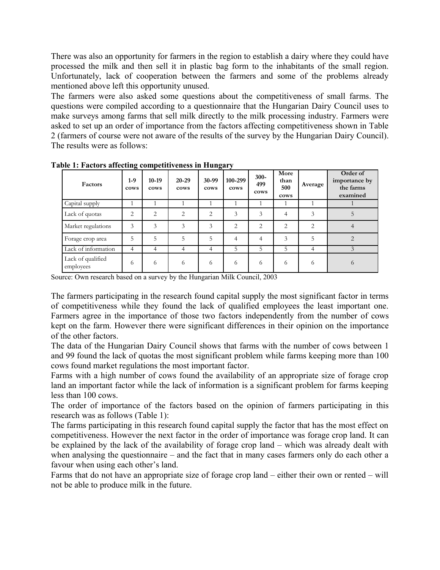There was also an opportunity for farmers in the region to establish a dairy where they could have processed the milk and then sell it in plastic bag form to the inhabitants of the small region. Unfortunately, lack of cooperation between the farmers and some of the problems already mentioned above left this opportunity unused.

The farmers were also asked some questions about the competitiveness of small farms. The questions were compiled according to a questionnaire that the Hungarian Dairy Council uses to make surveys among farms that sell milk directly to the milk processing industry. Farmers were asked to set up an order of importance from the factors affecting competitiveness shown in Table 2 (farmers of course were not aware of the results of the survey by the Hungarian Dairy Council). The results were as follows:

| Factors                        | $1-9$<br>cows | $10-19$<br>cows | 20-29<br>cows | 30-99<br>cows | 100-299<br>cows | $300 -$<br>499<br>cows | More<br>than<br>500<br>cows | Average        | Order of<br>importance by<br>the farms<br>examined |
|--------------------------------|---------------|-----------------|---------------|---------------|-----------------|------------------------|-----------------------------|----------------|----------------------------------------------------|
| Capital supply                 |               |                 |               |               |                 |                        |                             |                |                                                    |
| Lack of quotas                 | 2             | 2               | 2             | 2             | 3               | 3                      | 4                           | 3              | 5                                                  |
| Market regulations             | 3             | 3               | 3             | 3             | $\overline{2}$  | $\overline{2}$         | $\mathfrak{D}$              | $\overline{c}$ |                                                    |
| Forage crop area               | 5             | 5               |               | 5             | 4               | 4                      | 3                           | 5              | $\mathfrak{D}$                                     |
| Lack of information            | 4             | 4               | 4             | 4             | 5               | 5.                     | 5                           | 4              |                                                    |
| Lack of qualified<br>employees | 6             | 6               | 6             | 6             | 6               | 6                      | 6                           | 6              | $\Omega$                                           |

**Table 1: Factors affecting competitiveness in Hungary**

Source: Own research based on a survey by the Hungarian Milk Council, 2003

The farmers participating in the research found capital supply the most significant factor in terms of competitiveness while they found the lack of qualified employees the least important one. Farmers agree in the importance of those two factors independently from the number of cows kept on the farm. However there were significant differences in their opinion on the importance of the other factors.

The data of the Hungarian Dairy Council shows that farms with the number of cows between 1 and 99 found the lack of quotas the most significant problem while farms keeping more than 100 cows found market regulations the most important factor.

Farms with a high number of cows found the availability of an appropriate size of forage crop land an important factor while the lack of information is a significant problem for farms keeping less than 100 cows.

The order of importance of the factors based on the opinion of farmers participating in this research was as follows (Table 1):

The farms participating in this research found capital supply the factor that has the most effect on competitiveness. However the next factor in the order of importance was forage crop land. It can be explained by the lack of the availability of forage crop land – which was already dealt with when analysing the questionnaire – and the fact that in many cases farmers only do each other a favour when using each other's land.

Farms that do not have an appropriate size of forage crop land – either their own or rented – will not be able to produce milk in the future.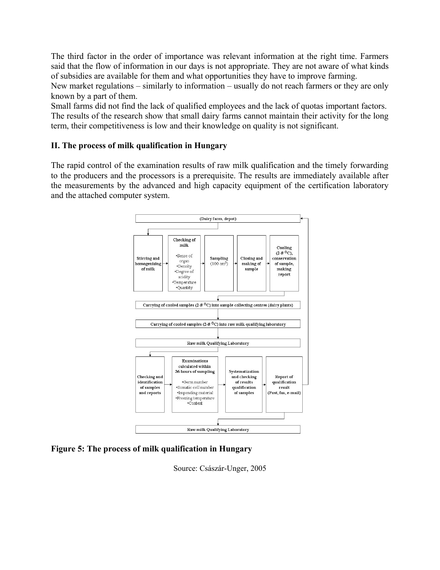The third factor in the order of importance was relevant information at the right time. Farmers said that the flow of information in our days is not appropriate. They are not aware of what kinds of subsidies are available for them and what opportunities they have to improve farming.

New market regulations – similarly to information – usually do not reach farmers or they are only known by a part of them.

Small farms did not find the lack of qualified employees and the lack of quotas important factors. The results of the research show that small dairy farms cannot maintain their activity for the long term, their competitiveness is low and their knowledge on quality is not significant.

# **II. The process of milk qualification in Hungary**

The rapid control of the examination results of raw milk qualification and the timely forwarding to the producers and the processors is a prerequisite. The results are immediately available after the measurements by the advanced and high capacity equipment of the certification laboratory and the attached computer system.



# **Figure 5: The process of milk qualification in Hungary**

Source: Császár-Unger, 2005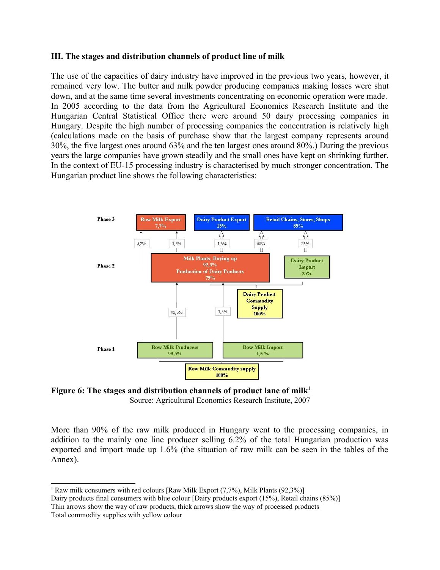### **III. The stages and distribution channels of product line of milk**

The use of the capacities of dairy industry have improved in the previous two years, however, it remained very low. The butter and milk powder producing companies making losses were shut down, and at the same time several investments concentrating on economic operation were made. In 2005 according to the data from the Agricultural Economics Research Institute and the Hungarian Central Statistical Office there were around 50 dairy processing companies in Hungary. Despite the high number of processing companies the concentration is relatively high (calculations made on the basis of purchase show that the largest company represents around 30%, the five largest ones around 63% and the ten largest ones around 80%.) During the previous years the large companies have grown steadily and the small ones have kept on shrinking further. In the context of EU-15 processing industry is characterised by much stronger concentration. The Hungarian product line shows the following characteristics:



**Figure 6: The stages and distribution channels of product lane of milk[1](#page-7-0)** Source: Agricultural Economics Research Institute, 2007

More than 90% of the raw milk produced in Hungary went to the processing companies, in addition to the mainly one line producer selling 6.2% of the total Hungarian production was exported and import made up 1.6% (the situation of raw milk can be seen in the tables of the Annex).

<span id="page-7-0"></span><sup>1</sup> Raw milk consumers with red colours [Raw Milk Export  $(7.7%)$ , Milk Plants  $(92.3%)$ ]

Dairy products final consumers with blue colour [Dairy products export (15%), Retail chains (85%)] Thin arrows show the way of raw products, thick arrows show the way of processed products Total commodity supplies with yellow colour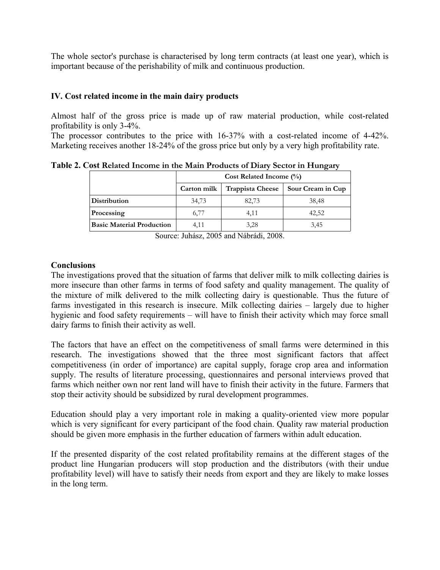The whole sector's purchase is characterised by long term contracts (at least one year), which is important because of the perishability of milk and continuous production.

# **IV. Cost related income in the main dairy products**

Almost half of the gross price is made up of raw material production, while cost-related profitability is only 3-4%.

The processor contributes to the price with 16-37% with a cost-related income of 4-42%. Marketing receives another 18-24% of the gross price but only by a very high profitability rate.

|                                  |             | Cost Related Income $(\%)$ |                   |  |  |  |  |  |  |  |
|----------------------------------|-------------|----------------------------|-------------------|--|--|--|--|--|--|--|
|                                  | Carton milk | <b>Trappista Cheese</b>    | Sour Cream in Cup |  |  |  |  |  |  |  |
| <b>Distribution</b>              | 34,73       | 82,73                      | 38.48             |  |  |  |  |  |  |  |
| Processing                       | 6,77        | 4,11                       | 42,52             |  |  |  |  |  |  |  |
| <b>Basic Material Production</b> | 4.11        | 3,28                       | 3.45              |  |  |  |  |  |  |  |

**Table 2. Cost Related Income in the Main Products of Diary Sector in Hungary**

Source: Juhász, 2005 and Nábrádi, 2008.

### **Conclusions**

The investigations proved that the situation of farms that deliver milk to milk collecting dairies is more insecure than other farms in terms of food safety and quality management. The quality of the mixture of milk delivered to the milk collecting dairy is questionable. Thus the future of farms investigated in this research is insecure. Milk collecting dairies – largely due to higher hygienic and food safety requirements – will have to finish their activity which may force small dairy farms to finish their activity as well.

The factors that have an effect on the competitiveness of small farms were determined in this research. The investigations showed that the three most significant factors that affect competitiveness (in order of importance) are capital supply, forage crop area and information supply. The results of literature processing, questionnaires and personal interviews proved that farms which neither own nor rent land will have to finish their activity in the future. Farmers that stop their activity should be subsidized by rural development programmes.

Education should play a very important role in making a quality-oriented view more popular which is very significant for every participant of the food chain. Quality raw material production should be given more emphasis in the further education of farmers within adult education.

If the presented disparity of the cost related profitability remains at the different stages of the product line Hungarian producers will stop production and the distributors (with their undue profitability level) will have to satisfy their needs from export and they are likely to make losses in the long term.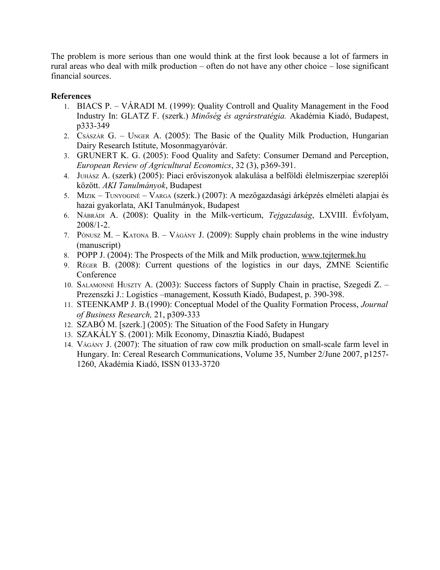The problem is more serious than one would think at the first look because a lot of farmers in rural areas who deal with milk production – often do not have any other choice – lose significant financial sources.

# **References**

- 1. BIACS P. VÁRADI M. (1999): Quality Controll and Quality Management in the Food Industry In: GLATZ F. (szerk.) *Minőség és agrárstratégia.* Akadémia Kiadó, Budapest, p333-349
- 2. CSÁSZÁR G. UNGER A. (2005): The Basic of the Quality Milk Production, Hungarian Dairy Research Istitute, Mosonmagyaróvár.
- 3. GRUNERT K. G. (2005): Food Quality and Safety: Consumer Demand and Perception, *European Review of Agricultural Economics*, 32 (3), p369-391.
- 4. JUHÁSZ A. (szerk) (2005): Piaci erőviszonyok alakulása a belföldi élelmiszerpiac szereplői között. *AKI Tanulmányok*, Budapest
- 5. MIZIK TUNYOGINÉ VARGA (szerk.) (2007): A mezőgazdasági árképzés elméleti alapjai és hazai gyakorlata, AKI Tanulmányok, Budapest
- 6. NÁBRÁDI A. (2008): Quality in the Milk-verticum, *Tejgazdaság*, LXVIII. Évfolyam, 2008/1-2.
- 7. PÓNUSZ M. KATONA B. VÁGÁNY J. (2009): Supply chain problems in the wine industry (manuscript)
- 8. POPP J. (2004): The Prospects of the Milk and Milk production, [www.tejtermek.hu](http://www.tejtermek.hu/)
- 9. RÉGER B. (2008): Current questions of the logistics in our days, ZMNE Scientific **Conference**
- 10. SALAMONNÉ HUSZTY A. (2003): Success factors of Supply Chain in practise, Szegedi Z. Prezenszki J.: Logistics –management, Kossuth Kiadó, Budapest, p. 390-398.
- 11. STEENKAMP J. B.(1990): Conceptual Model of the Quality Formation Process, *Journal of Business Research,* 21, p309-333
- 12. SZABÓ M. [szerk.] (2005): The Situation of the Food Safety in Hungary
- 13. SZAKÁLY S. (2001): Milk Economy, Dinasztia Kiadó, Budapest
- 14. VÁGÁNY J. (2007): The situation of raw cow milk production on small-scale farm level in Hungary. In: [Cereal Research Communications,](http://www.akademiai.com/content/120427/) [Volume 35, Number 2/June 2007,](http://www.akademiai.com/content/h183472204h8/) p1257- 1260, Akadémia Kiadó, ISSN 0133-3720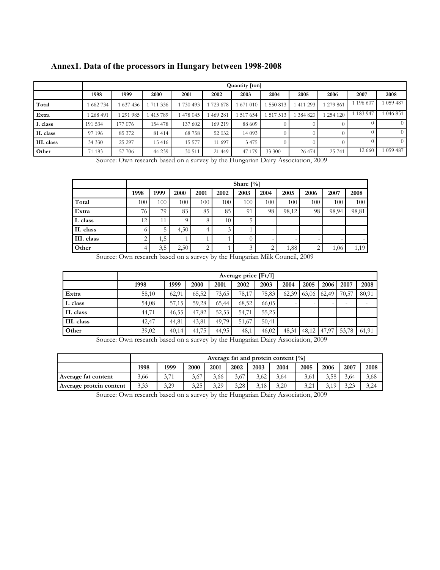| Annex1. Data of the processors in Hungary between 1998-2008 |  |  |  |  |
|-------------------------------------------------------------|--|--|--|--|
|-------------------------------------------------------------|--|--|--|--|

|            |         | Quantity [ton] |         |           |          |           |          |          |         |         |           |  |  |
|------------|---------|----------------|---------|-----------|----------|-----------|----------|----------|---------|---------|-----------|--|--|
|            | 1998    | 1999           | 2000    | 2001      | 2002     | 2003      | 2004     | 2005     | 2006    | 2007    | 2008      |  |  |
| Total      | 662 734 | 1 637 436      | 711 336 | 1 730 493 | 723 678  | 1 671 010 | 550 813  | 411 293  | 279 861 | 196 607 | 1 059 487 |  |  |
| Extra      | 268 491 | 291 985        | 415789  | 1478 045  | 469 281  | 1 517 654 | 517 513  | 384 820  | 254120  | 183947  | 1 046 851 |  |  |
| I. class   | 191 534 | 177 076        | 154 478 | 137 602   | 169 219  | 88 609    |          |          |         |         |           |  |  |
| II. class  | 97 196  | 85 372         | 81 4 14 | 68758     | 52 032   | 14 0 93   | $\Omega$ | $^{(1)}$ |         |         |           |  |  |
| III. class | 34 330  | 25 297         | 15416   | 15 577    | 11 697   | 3475      |          |          |         |         |           |  |  |
| Other      | 71 183  | 57 706         | 44 239  | 30 511    | 21 4 4 9 | 47 179    | 33 300   | 26 474   | 25 741  | 12 660  | 1 059 487 |  |  |

Source: Own research based on a survey by the Hungarian Dairy Association, 2009

|            |            | Share $[\%]$ |          |      |                  |               |      |       |                 |                          |       |  |  |
|------------|------------|--------------|----------|------|------------------|---------------|------|-------|-----------------|--------------------------|-------|--|--|
|            | 1998       | 1999         | 2000     | 2001 | 2002             | 2003          | 2004 | 2005  | 2006            | 2007                     | 2008  |  |  |
| Total      | 100        | 100          | 100      | 100  | 100 <sub>1</sub> | 100           | 100  | 100   | 100             | 100                      | 100   |  |  |
| Extra      | 76         | 79           | 83       | 85   | 85               | 91            | 98   | 98,12 | 98              | 98,94                    | 98,81 |  |  |
| I. class   | 12         | 11           | $\Omega$ | 8    | 10 <sub>1</sub>  |               |      |       |                 |                          |       |  |  |
| II. class  | $^{\circ}$ | 5            | 4,50     | 4    | 3                |               |      |       |                 |                          |       |  |  |
| III. class | ◠<br>∠     | 1,5          |          |      |                  |               |      |       | $\qquad \qquad$ | $\overline{\phantom{0}}$ |       |  |  |
| Other      |            | 3,5          | 2,50     | ◠    |                  | $\rightarrow$ |      | 1,88  | ◠<br>∠          | 1,06                     | 1,19  |  |  |

Source: Own research based on a survey by the Hungarian Milk Council, 2009

|            | Average price $[Ft/l]$ |       |       |       |       |       |       |               |                          |                          |       |
|------------|------------------------|-------|-------|-------|-------|-------|-------|---------------|--------------------------|--------------------------|-------|
|            | 1998                   | 1999  | 2000  | 2001  | 2002  | 2003  | 2004  | 2005          | 2006                     | 2007                     | 2008  |
| Extra      | 58,10                  | 62,91 | 65.52 | 73.65 | 78,17 | 75,83 | 62,39 | $63,06$ 62,49 |                          | 70,57                    | 80.91 |
| I. class   | 54,08                  | 57,15 | 59,28 | 65,44 | 68,52 | 66,05 |       |               | $\overline{\phantom{0}}$ | $\overline{\phantom{0}}$ |       |
| II. class  | 44,71                  | 46,55 | 47,82 | 52,53 | 54,71 | 55,25 |       |               | $\overline{\phantom{0}}$ | $\overline{\phantom{a}}$ |       |
| III. class | 42,47                  | 44,81 | 43,81 | 49.79 | 51.67 | 50,41 |       |               | $\overline{\phantom{0}}$ | -                        |       |
| Other      | 39,02                  | 40,14 | 41,75 | 44,95 | 48,1  | 46,02 | 48,31 |               | $48,12$   $47,97$        | 53,78                    | 61,91 |

Source: Own research based on a survey by the Hungarian Dairy Association, 2009

|                         |      | Average fat and protein content $[\%]$ |      |      |      |      |      |      |      |                |      |  |
|-------------------------|------|----------------------------------------|------|------|------|------|------|------|------|----------------|------|--|
|                         | 1998 | 1999                                   | 2000 | 2001 | 2002 | 2003 | 2004 | 2005 | 2006 | 2007           | 2008 |  |
| Average fat content     | 3,66 | 3,71                                   | 3,67 | 3.66 | 3.67 | 3,62 | 3,64 | 3,61 | 3,58 | 3.64           | 3,68 |  |
| Average protein content | 3,33 | 3,29                                   | 3.25 | 3.29 | 3.28 | 3.18 | 3.20 | 3,21 |      | 3.23<br>ن کے ل | 3,24 |  |

Source: Own research based on a survey by the Hungarian Dairy Association, 2009